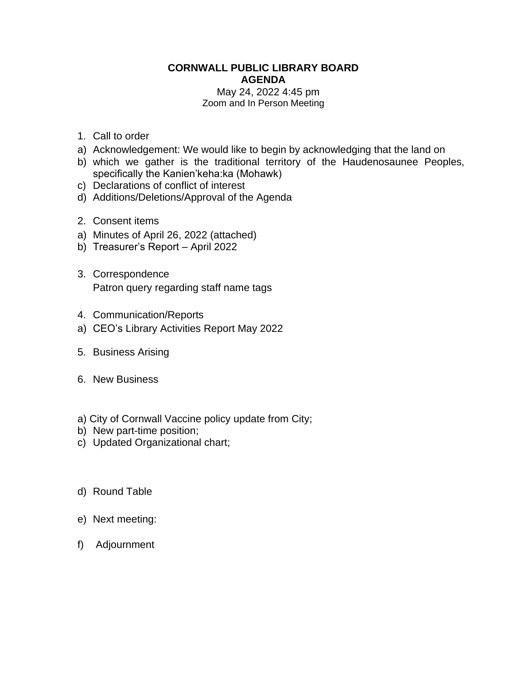#### **CORNWALL PUBLIC LIBRARY BOARD AGENDA** May 24, 2022 4:45 pm

# Zoom and In Person Meeting

- 1. Call to order
- a) Acknowledgement: We would like to begin by acknowledging that the land on
- b) which we gather is the traditional territory of the Haudenosaunee Peoples, specifically the Kanien'keha:ka (Mohawk)
- c) Declarations of conflict of interest
- d) Additions/Deletions/Approval of the Agenda
- 2. Consent items
- a) Minutes of April 26, 2022 (attached)
- b) Treasurer's Report April 2022
- 3. Correspondence Patron query regarding staff name tags
- 4. Communication/Reports
- a) CEO's Library Activities Report May 2022
- 5. Business Arising
- 6. New Business
- a) City of Cornwall Vaccine policy update from City;
- b) New part-time position;
- c) Updated Organizational chart;
- d) Round Table
- e) Next meeting:
- f) Adjournment